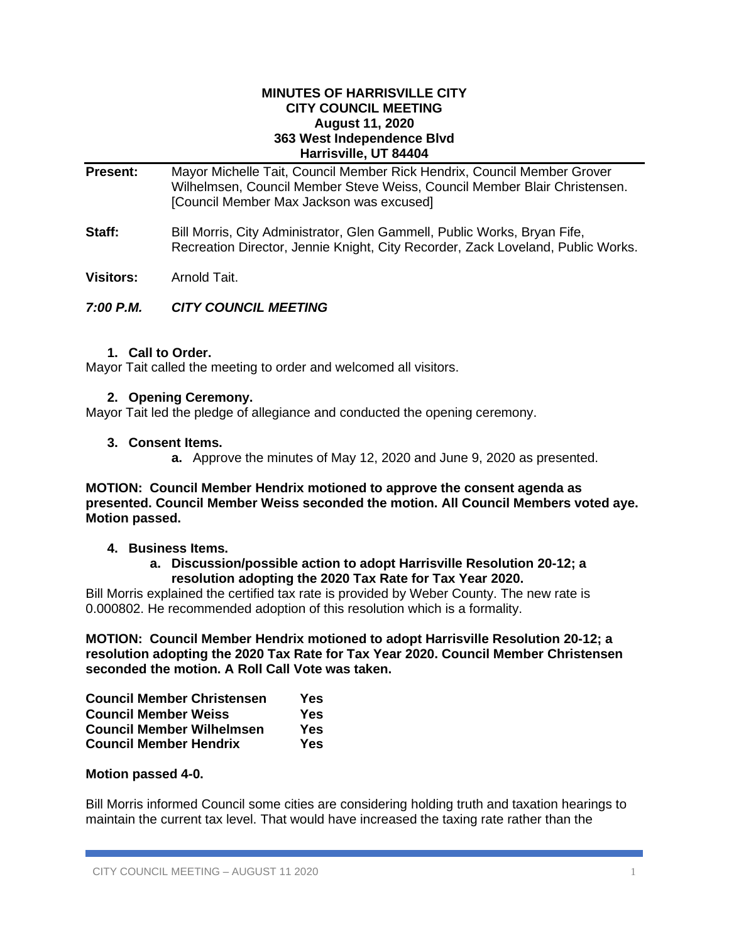#### **MINUTES OF HARRISVILLE CITY CITY COUNCIL MEETING August 11, 2020 363 West Independence Blvd Harrisville, UT 84404**

# **Present:** Mayor Michelle Tait, Council Member Rick Hendrix, Council Member Grover Wilhelmsen, Council Member Steve Weiss, Council Member Blair Christensen. [Council Member Max Jackson was excused]

**Staff:** Bill Morris, City Administrator, Glen Gammell, Public Works, Bryan Fife, Recreation Director, Jennie Knight, City Recorder, Zack Loveland, Public Works.

**Visitors:** Arnold Tait.

# *7:00 P.M. CITY COUNCIL MEETING*

## **1. Call to Order.**

Mayor Tait called the meeting to order and welcomed all visitors.

## **2. Opening Ceremony.**

Mayor Tait led the pledge of allegiance and conducted the opening ceremony.

## **3. Consent Items.**

**a.** Approve the minutes of May 12, 2020 and June 9, 2020 as presented.

### **MOTION: Council Member Hendrix motioned to approve the consent agenda as presented. Council Member Weiss seconded the motion. All Council Members voted aye. Motion passed.**

#### **4. Business Items.**

## **a. Discussion/possible action to adopt Harrisville Resolution 20-12; a resolution adopting the 2020 Tax Rate for Tax Year 2020.**

Bill Morris explained the certified tax rate is provided by Weber County. The new rate is 0.000802. He recommended adoption of this resolution which is a formality.

**MOTION: Council Member Hendrix motioned to adopt Harrisville Resolution 20-12; a resolution adopting the 2020 Tax Rate for Tax Year 2020. Council Member Christensen seconded the motion. A Roll Call Vote was taken.**

| <b>Council Member Christensen</b> | Yes |
|-----------------------------------|-----|
| <b>Council Member Weiss</b>       | Yes |
| <b>Council Member Wilhelmsen</b>  | Yes |
| <b>Council Member Hendrix</b>     | Yes |

## **Motion passed 4-0.**

Bill Morris informed Council some cities are considering holding truth and taxation hearings to maintain the current tax level. That would have increased the taxing rate rather than the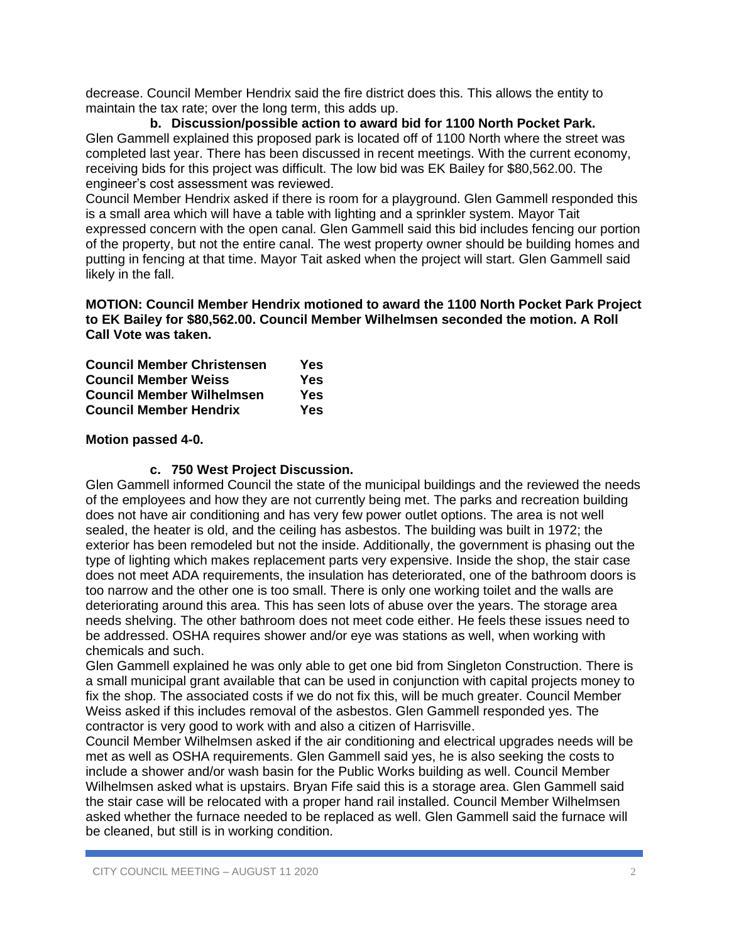decrease. Council Member Hendrix said the fire district does this. This allows the entity to maintain the tax rate; over the long term, this adds up.

**b. Discussion/possible action to award bid for 1100 North Pocket Park.** Glen Gammell explained this proposed park is located off of 1100 North where the street was completed last year. There has been discussed in recent meetings. With the current economy, receiving bids for this project was difficult. The low bid was EK Bailey for \$80,562.00. The engineer's cost assessment was reviewed.

Council Member Hendrix asked if there is room for a playground. Glen Gammell responded this is a small area which will have a table with lighting and a sprinkler system. Mayor Tait expressed concern with the open canal. Glen Gammell said this bid includes fencing our portion of the property, but not the entire canal. The west property owner should be building homes and putting in fencing at that time. Mayor Tait asked when the project will start. Glen Gammell said likely in the fall.

**MOTION: Council Member Hendrix motioned to award the 1100 North Pocket Park Project to EK Bailey for \$80,562.00. Council Member Wilhelmsen seconded the motion. A Roll Call Vote was taken.**

| <b>Council Member Christensen</b> | Yes        |
|-----------------------------------|------------|
| <b>Council Member Weiss</b>       | <b>Yes</b> |
| <b>Council Member Wilhelmsen</b>  | <b>Yes</b> |
| <b>Council Member Hendrix</b>     | <b>Yes</b> |

## **Motion passed 4-0.**

## **c. 750 West Project Discussion.**

Glen Gammell informed Council the state of the municipal buildings and the reviewed the needs of the employees and how they are not currently being met. The parks and recreation building does not have air conditioning and has very few power outlet options. The area is not well sealed, the heater is old, and the ceiling has asbestos. The building was built in 1972; the exterior has been remodeled but not the inside. Additionally, the government is phasing out the type of lighting which makes replacement parts very expensive. Inside the shop, the stair case does not meet ADA requirements, the insulation has deteriorated, one of the bathroom doors is too narrow and the other one is too small. There is only one working toilet and the walls are deteriorating around this area. This has seen lots of abuse over the years. The storage area needs shelving. The other bathroom does not meet code either. He feels these issues need to be addressed. OSHA requires shower and/or eye was stations as well, when working with chemicals and such.

Glen Gammell explained he was only able to get one bid from Singleton Construction. There is a small municipal grant available that can be used in conjunction with capital projects money to fix the shop. The associated costs if we do not fix this, will be much greater. Council Member Weiss asked if this includes removal of the asbestos. Glen Gammell responded yes. The contractor is very good to work with and also a citizen of Harrisville.

Council Member Wilhelmsen asked if the air conditioning and electrical upgrades needs will be met as well as OSHA requirements. Glen Gammell said yes, he is also seeking the costs to include a shower and/or wash basin for the Public Works building as well. Council Member Wilhelmsen asked what is upstairs. Bryan Fife said this is a storage area. Glen Gammell said the stair case will be relocated with a proper hand rail installed. Council Member Wilhelmsen asked whether the furnace needed to be replaced as well. Glen Gammell said the furnace will be cleaned, but still is in working condition.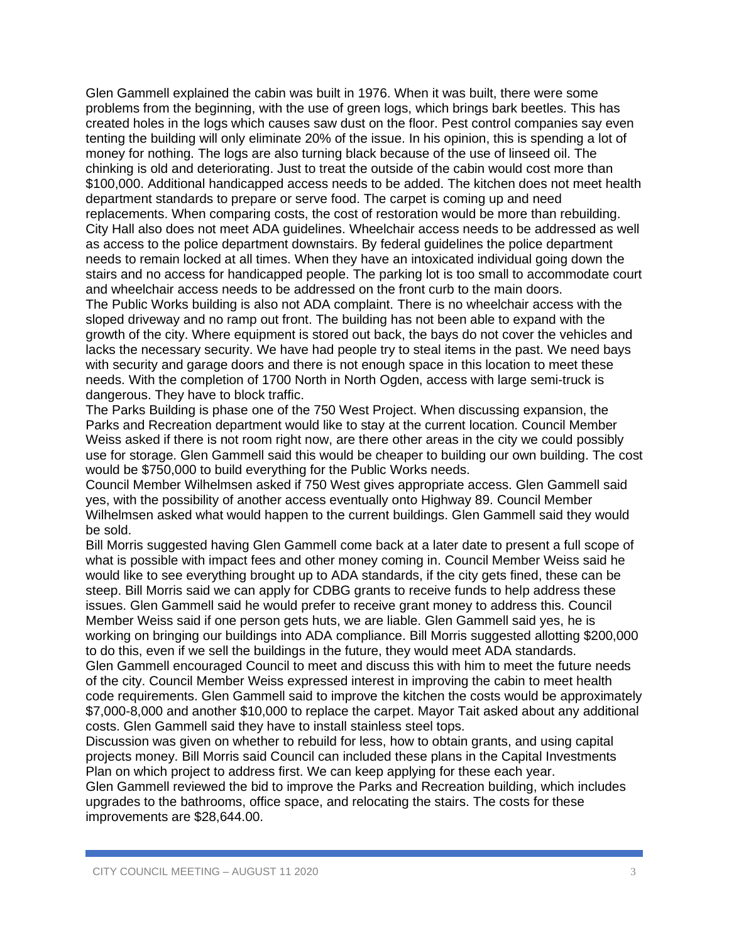Glen Gammell explained the cabin was built in 1976. When it was built, there were some problems from the beginning, with the use of green logs, which brings bark beetles. This has created holes in the logs which causes saw dust on the floor. Pest control companies say even tenting the building will only eliminate 20% of the issue. In his opinion, this is spending a lot of money for nothing. The logs are also turning black because of the use of linseed oil. The chinking is old and deteriorating. Just to treat the outside of the cabin would cost more than \$100,000. Additional handicapped access needs to be added. The kitchen does not meet health department standards to prepare or serve food. The carpet is coming up and need replacements. When comparing costs, the cost of restoration would be more than rebuilding. City Hall also does not meet ADA guidelines. Wheelchair access needs to be addressed as well as access to the police department downstairs. By federal guidelines the police department needs to remain locked at all times. When they have an intoxicated individual going down the stairs and no access for handicapped people. The parking lot is too small to accommodate court and wheelchair access needs to be addressed on the front curb to the main doors.

The Public Works building is also not ADA complaint. There is no wheelchair access with the sloped driveway and no ramp out front. The building has not been able to expand with the growth of the city. Where equipment is stored out back, the bays do not cover the vehicles and lacks the necessary security. We have had people try to steal items in the past. We need bays with security and garage doors and there is not enough space in this location to meet these needs. With the completion of 1700 North in North Ogden, access with large semi-truck is dangerous. They have to block traffic.

The Parks Building is phase one of the 750 West Project. When discussing expansion, the Parks and Recreation department would like to stay at the current location. Council Member Weiss asked if there is not room right now, are there other areas in the city we could possibly use for storage. Glen Gammell said this would be cheaper to building our own building. The cost would be \$750,000 to build everything for the Public Works needs.

Council Member Wilhelmsen asked if 750 West gives appropriate access. Glen Gammell said yes, with the possibility of another access eventually onto Highway 89. Council Member Wilhelmsen asked what would happen to the current buildings. Glen Gammell said they would be sold.

Bill Morris suggested having Glen Gammell come back at a later date to present a full scope of what is possible with impact fees and other money coming in. Council Member Weiss said he would like to see everything brought up to ADA standards, if the city gets fined, these can be steep. Bill Morris said we can apply for CDBG grants to receive funds to help address these issues. Glen Gammell said he would prefer to receive grant money to address this. Council Member Weiss said if one person gets huts, we are liable. Glen Gammell said yes, he is working on bringing our buildings into ADA compliance. Bill Morris suggested allotting \$200,000 to do this, even if we sell the buildings in the future, they would meet ADA standards.

Glen Gammell encouraged Council to meet and discuss this with him to meet the future needs of the city. Council Member Weiss expressed interest in improving the cabin to meet health code requirements. Glen Gammell said to improve the kitchen the costs would be approximately \$7,000-8,000 and another \$10,000 to replace the carpet. Mayor Tait asked about any additional costs. Glen Gammell said they have to install stainless steel tops.

Discussion was given on whether to rebuild for less, how to obtain grants, and using capital projects money. Bill Morris said Council can included these plans in the Capital Investments Plan on which project to address first. We can keep applying for these each year.

Glen Gammell reviewed the bid to improve the Parks and Recreation building, which includes upgrades to the bathrooms, office space, and relocating the stairs. The costs for these improvements are \$28,644.00.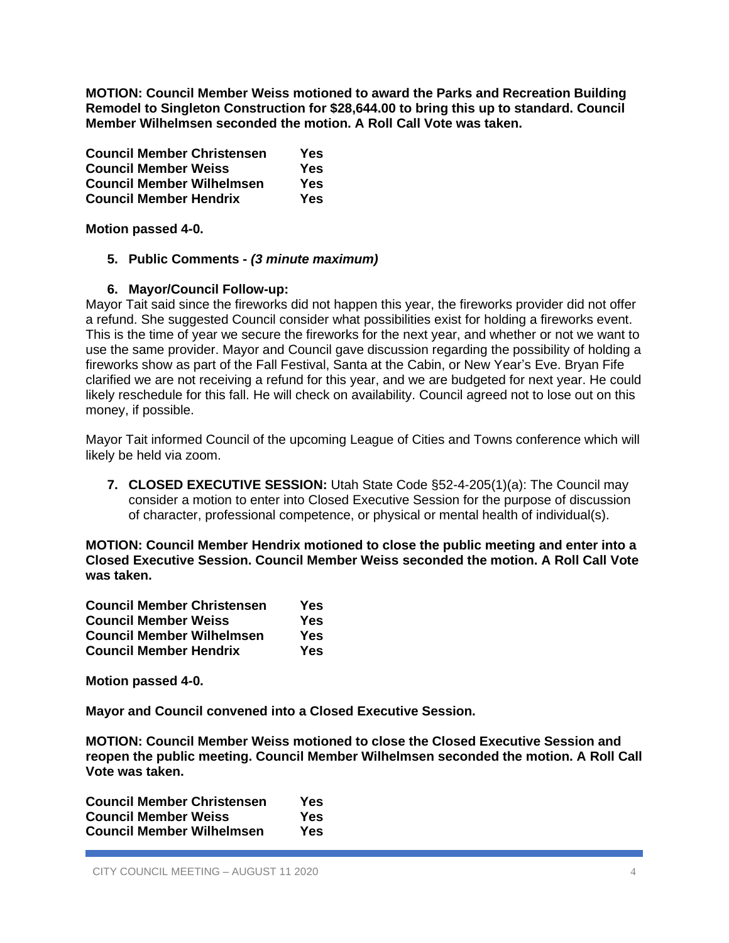**MOTION: Council Member Weiss motioned to award the Parks and Recreation Building Remodel to Singleton Construction for \$28,644.00 to bring this up to standard. Council Member Wilhelmsen seconded the motion. A Roll Call Vote was taken.**

| <b>Council Member Christensen</b> | Yes |
|-----------------------------------|-----|
| <b>Council Member Weiss</b>       | Yes |
| <b>Council Member Wilhelmsen</b>  | Yes |
| <b>Council Member Hendrix</b>     | Yes |

**Motion passed 4-0.**

## **5. Public Comments -** *(3 minute maximum)*

## **6. Mayor/Council Follow-up:**

Mayor Tait said since the fireworks did not happen this year, the fireworks provider did not offer a refund. She suggested Council consider what possibilities exist for holding a fireworks event. This is the time of year we secure the fireworks for the next year, and whether or not we want to use the same provider. Mayor and Council gave discussion regarding the possibility of holding a fireworks show as part of the Fall Festival, Santa at the Cabin, or New Year's Eve. Bryan Fife clarified we are not receiving a refund for this year, and we are budgeted for next year. He could likely reschedule for this fall. He will check on availability. Council agreed not to lose out on this money, if possible.

Mayor Tait informed Council of the upcoming League of Cities and Towns conference which will likely be held via zoom.

**7. CLOSED EXECUTIVE SESSION:** Utah State Code §52-4-205(1)(a): The Council may consider a motion to enter into Closed Executive Session for the purpose of discussion of character, professional competence, or physical or mental health of individual(s).

**MOTION: Council Member Hendrix motioned to close the public meeting and enter into a Closed Executive Session. Council Member Weiss seconded the motion. A Roll Call Vote was taken.**

| <b>Council Member Christensen</b> | Yes |
|-----------------------------------|-----|
| <b>Council Member Weiss</b>       | Yes |
| <b>Council Member Wilhelmsen</b>  | Yes |
| <b>Council Member Hendrix</b>     | Yes |

**Motion passed 4-0.**

**Mayor and Council convened into a Closed Executive Session.**

**MOTION: Council Member Weiss motioned to close the Closed Executive Session and reopen the public meeting. Council Member Wilhelmsen seconded the motion. A Roll Call Vote was taken.**

**Council Member Christensen Yes Council Member Weiss Yes Council Member Wilhelmsen Yes**